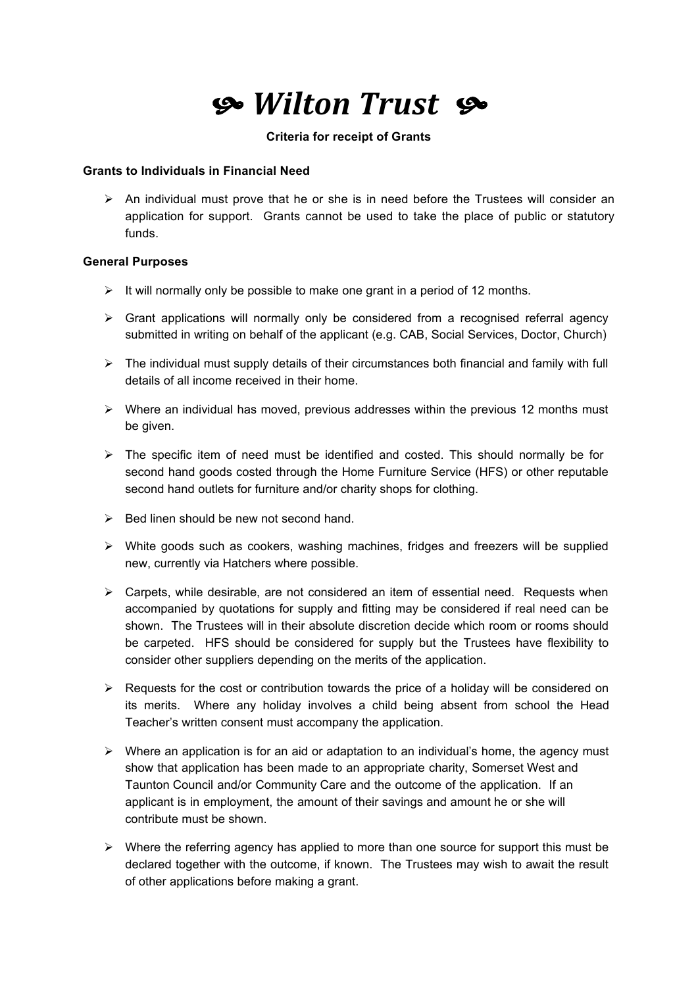# *Wilton
Trust*

#### **Criteria for receipt of Grants**

#### **Grants to Individuals in Financial Need**

 $\triangleright$  An individual must prove that he or she is in need before the Trustees will consider an application for support. Grants cannot be used to take the place of public or statutory funds.

### **General Purposes**

- $\triangleright$  It will normally only be possible to make one grant in a period of 12 months.
- $\triangleright$  Grant applications will normally only be considered from a recognised referral agency submitted in writing on behalf of the applicant (e.g. CAB, Social Services, Doctor, Church)
- $\triangleright$  The individual must supply details of their circumstances both financial and family with full details of all income received in their home.
- $\triangleright$  Where an individual has moved, previous addresses within the previous 12 months must be given.
- $\triangleright$  The specific item of need must be identified and costed. This should normally be for second hand goods costed through the Home Furniture Service (HFS) or other reputable second hand outlets for furniture and/or charity shops for clothing.
- $\triangleright$  Bed linen should be new not second hand.
- $\triangleright$  White goods such as cookers, washing machines, fridges and freezers will be supplied new, currently via Hatchers where possible.
- $\triangleright$  Carpets, while desirable, are not considered an item of essential need. Requests when accompanied by quotations for supply and fitting may be considered if real need can be shown. The Trustees will in their absolute discretion decide which room or rooms should be carpeted. HFS should be considered for supply but the Trustees have flexibility to consider other suppliers depending on the merits of the application.
- $\triangleright$  Requests for the cost or contribution towards the price of a holiday will be considered on its merits. Where any holiday involves a child being absent from school the Head Teacher's written consent must accompany the application.
- $\triangleright$  Where an application is for an aid or adaptation to an individual's home, the agency must show that application has been made to an appropriate charity, Somerset West and Taunton Council and/or Community Care and the outcome of the application. If an applicant is in employment, the amount of their savings and amount he or she will contribute must be shown.
- $\triangleright$  Where the referring agency has applied to more than one source for support this must be declared together with the outcome, if known. The Trustees may wish to await the result of other applications before making a grant.